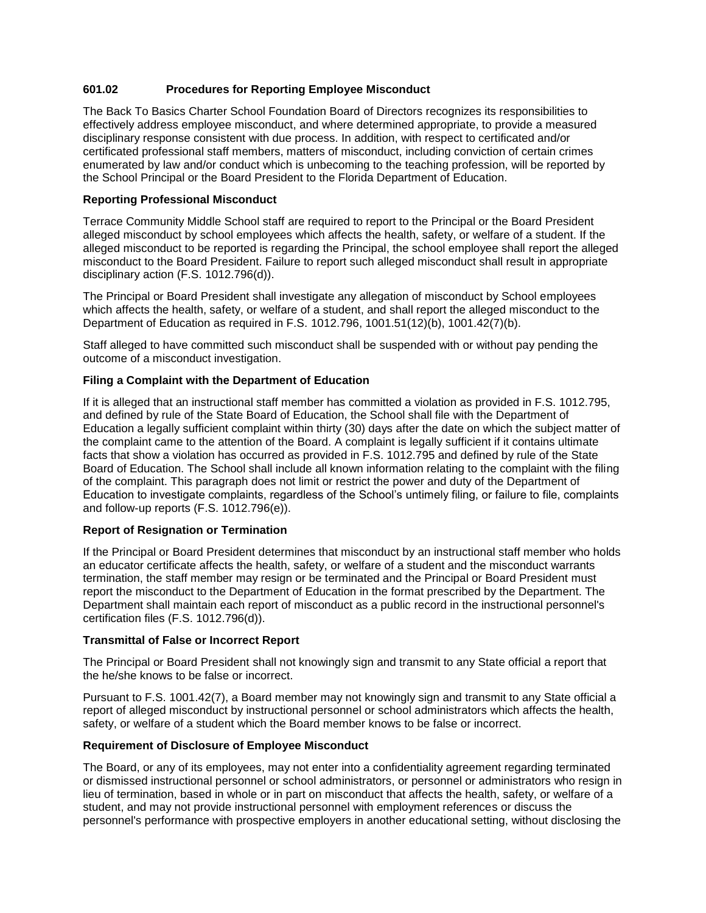# **601.02 Procedures for Reporting Employee Misconduct**

The Back To Basics Charter School Foundation Board of Directors recognizes its responsibilities to effectively address employee misconduct, and where determined appropriate, to provide a measured disciplinary response consistent with due process. In addition, with respect to certificated and/or certificated professional staff members, matters of misconduct, including conviction of certain crimes enumerated by law and/or conduct which is unbecoming to the teaching profession, will be reported by the School Principal or the Board President to the Florida Department of Education.

### **Reporting Professional Misconduct**

Terrace Community Middle School staff are required to report to the Principal or the Board President alleged misconduct by school employees which affects the health, safety, or welfare of a student. If the alleged misconduct to be reported is regarding the Principal, the school employee shall report the alleged misconduct to the Board President. Failure to report such alleged misconduct shall result in appropriate disciplinary action (F.S. 1012.796(d)).

The Principal or Board President shall investigate any allegation of misconduct by School employees which affects the health, safety, or welfare of a student, and shall report the alleged misconduct to the Department of Education as required in F.S. 1012.796, 1001.51(12)(b), 1001.42(7)(b).

Staff alleged to have committed such misconduct shall be suspended with or without pay pending the outcome of a misconduct investigation.

## **Filing a Complaint with the Department of Education**

If it is alleged that an instructional staff member has committed a violation as provided in F.S. 1012.795, and defined by rule of the State Board of Education, the School shall file with the Department of Education a legally sufficient complaint within thirty (30) days after the date on which the subject matter of the complaint came to the attention of the Board. A complaint is legally sufficient if it contains ultimate facts that show a violation has occurred as provided in F.S. 1012.795 and defined by rule of the State Board of Education. The School shall include all known information relating to the complaint with the filing of the complaint. This paragraph does not limit or restrict the power and duty of the Department of Education to investigate complaints, regardless of the School's untimely filing, or failure to file, complaints and follow-up reports (F.S. 1012.796(e)).

#### **Report of Resignation or Termination**

If the Principal or Board President determines that misconduct by an instructional staff member who holds an educator certificate affects the health, safety, or welfare of a student and the misconduct warrants termination, the staff member may resign or be terminated and the Principal or Board President must report the misconduct to the Department of Education in the format prescribed by the Department. The Department shall maintain each report of misconduct as a public record in the instructional personnel's certification files (F.S. 1012.796(d)).

#### **Transmittal of False or Incorrect Report**

The Principal or Board President shall not knowingly sign and transmit to any State official a report that the he/she knows to be false or incorrect.

Pursuant to F.S. 1001.42(7), a Board member may not knowingly sign and transmit to any State official a report of alleged misconduct by instructional personnel or school administrators which affects the health, safety, or welfare of a student which the Board member knows to be false or incorrect.

#### **Requirement of Disclosure of Employee Misconduct**

The Board, or any of its employees, may not enter into a confidentiality agreement regarding terminated or dismissed instructional personnel or school administrators, or personnel or administrators who resign in lieu of termination, based in whole or in part on misconduct that affects the health, safety, or welfare of a student, and may not provide instructional personnel with employment references or discuss the personnel's performance with prospective employers in another educational setting, without disclosing the